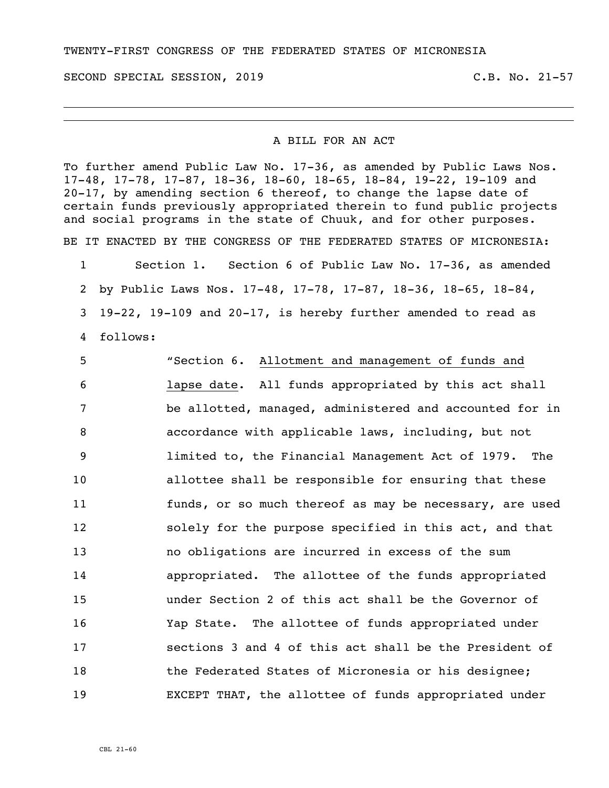TWENTY-FIRST CONGRESS OF THE FEDERATED STATES OF MICRONESIA

SECOND SPECIAL SESSION, 2019 C.B. No. 21-57

## A BILL FOR AN ACT

To further amend Public Law No. 17-36, as amended by Public Laws Nos. 17-48, 17-78, 17-87, 18-36, 18-60, 18-65, 18-84, 19-22, 19-109 and 20-17, by amending section 6 thereof, to change the lapse date of certain funds previously appropriated therein to fund public projects and social programs in the state of Chuuk, and for other purposes.

BE IT ENACTED BY THE CONGRESS OF THE FEDERATED STATES OF MICRONESIA:

 Section 1. Section 6 of Public Law No. 17-36, as amended by Public Laws Nos. 17-48, 17-78, 17-87, 18-36, 18-65, 18-84, 19-22, 19-109 and 20-17, is hereby further amended to read as follows:

 "Section 6. Allotment and management of funds and lapse date. All funds appropriated by this act shall be allotted, managed, administered and accounted for in accordance with applicable laws, including, but not limited to, the Financial Management Act of 1979. The allottee shall be responsible for ensuring that these funds, or so much thereof as may be necessary, are used solely for the purpose specified in this act, and that no obligations are incurred in excess of the sum appropriated. The allottee of the funds appropriated under Section 2 of this act shall be the Governor of Yap State. The allottee of funds appropriated under sections 3 and 4 of this act shall be the President of 18 the Federated States of Micronesia or his designee; EXCEPT THAT, the allottee of funds appropriated under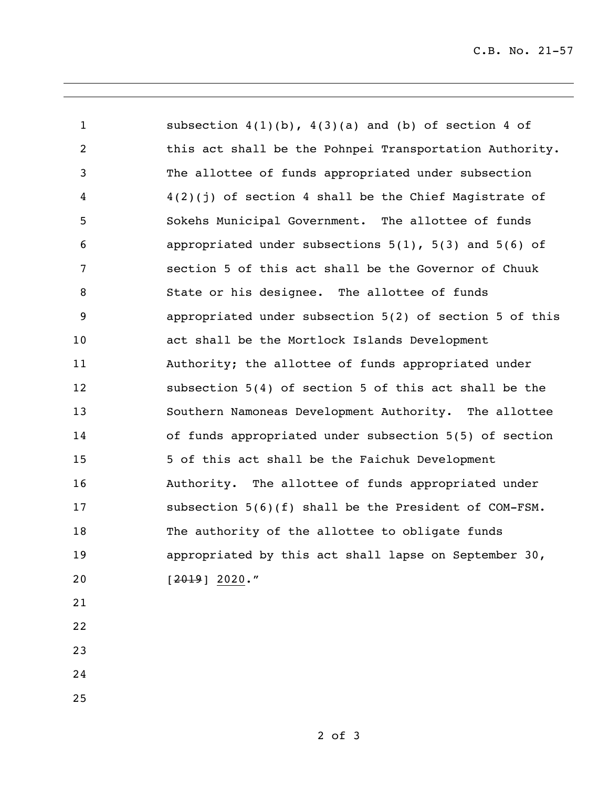| $\mathbf{1}$    | subsection $4(1)(b)$ , $4(3)(a)$ and (b) of section 4 of     |
|-----------------|--------------------------------------------------------------|
| $\overline{2}$  | this act shall be the Pohnpei Transportation Authority.      |
| 3               | The allottee of funds appropriated under subsection          |
| 4               | $4(2)(j)$ of section 4 shall be the Chief Magistrate of      |
| 5               | Sokehs Municipal Government. The allottee of funds           |
| 6               | appropriated under subsections $5(1)$ , $5(3)$ and $5(6)$ of |
| $7\phantom{.0}$ | section 5 of this act shall be the Governor of Chuuk         |
| $\, 8$          | State or his designee. The allottee of funds                 |
| 9               | appropriated under subsection 5(2) of section 5 of this      |
| 10              | act shall be the Mortlock Islands Development                |
| 11              | Authority; the allottee of funds appropriated under          |
| 12              | subsection 5(4) of section 5 of this act shall be the        |
| 13              | Southern Namoneas Development Authority. The allottee        |
| 14              | of funds appropriated under subsection 5(5) of section       |
| 15              | 5 of this act shall be the Faichuk Development               |
| 16              | Authority. The allottee of funds appropriated under          |
| 17              | subsection $5(6)(f)$ shall be the President of COM-FSM.      |
| 18              | The authority of the allottee to obligate funds              |
| 19              | appropriated by this act shall lapse on September 30,        |
| 20              | $[2019] 2020.$ "                                             |
| 21              |                                                              |
| 22              |                                                              |

- 
- 
-